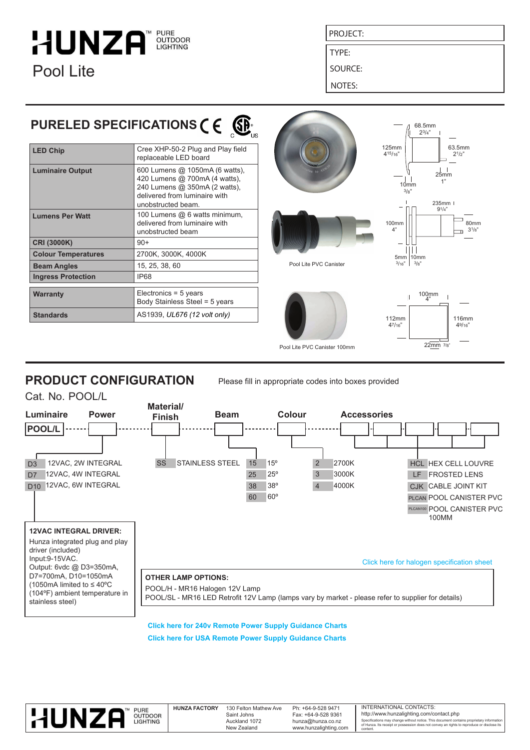# **HUNZA CUTDOOR**<br>LIGHTING Pool Lite

PROJECT:

TYPE:

SOURCE:

NOTES:

# **PURELED SPECIFICATIONS C E**

| <b>LED Chip</b>            | Cree XHP-50-2 Plug and Play field<br>replaceable LED board                                                                                              |  |  |
|----------------------------|---------------------------------------------------------------------------------------------------------------------------------------------------------|--|--|
| <b>Luminaire Output</b>    | 600 Lumens @ 1050mA (6 watts),<br>420 Lumens @ 700mA (4 watts),<br>240 Lumens @ 350mA (2 watts),<br>delivered from luminaire with<br>unobstructed beam. |  |  |
| <b>Lumens Per Watt</b>     | 100 Lumens @ 6 watts minimum,<br>delivered from luminaire with<br>unobstructed beam                                                                     |  |  |
| <b>CRI (3000K)</b>         | $90+$                                                                                                                                                   |  |  |
| <b>Colour Temperatures</b> | 2700K, 3000K, 4000K                                                                                                                                     |  |  |
| <b>Beam Angles</b>         | 15, 25, 38, 60                                                                                                                                          |  |  |
| <b>Ingress Protection</b>  | <b>IP68</b>                                                                                                                                             |  |  |
|                            |                                                                                                                                                         |  |  |
| Warranty                   | Electronics = $5$ years<br>Body Stainless Steel = 5 years                                                                                               |  |  |
| <b>Standards</b>           | AS1939, UL676 (12 volt only)                                                                                                                            |  |  |



**PRODUCT CONFIGURATION**

Please fill in appropriate codes into boxes provided



**[Click here for 240v Remote Power Supply Guidance Charts](http://hunzalighting.com/downloads/240v-countries-led-remote-power-supply-information-agdem.pdf) [Click here for USA Remote Power Supply Guidance Charts](http://hunzalighting.com/downloads/usacanada-led-remote-power-supply-information-qlzhi.pdf)**